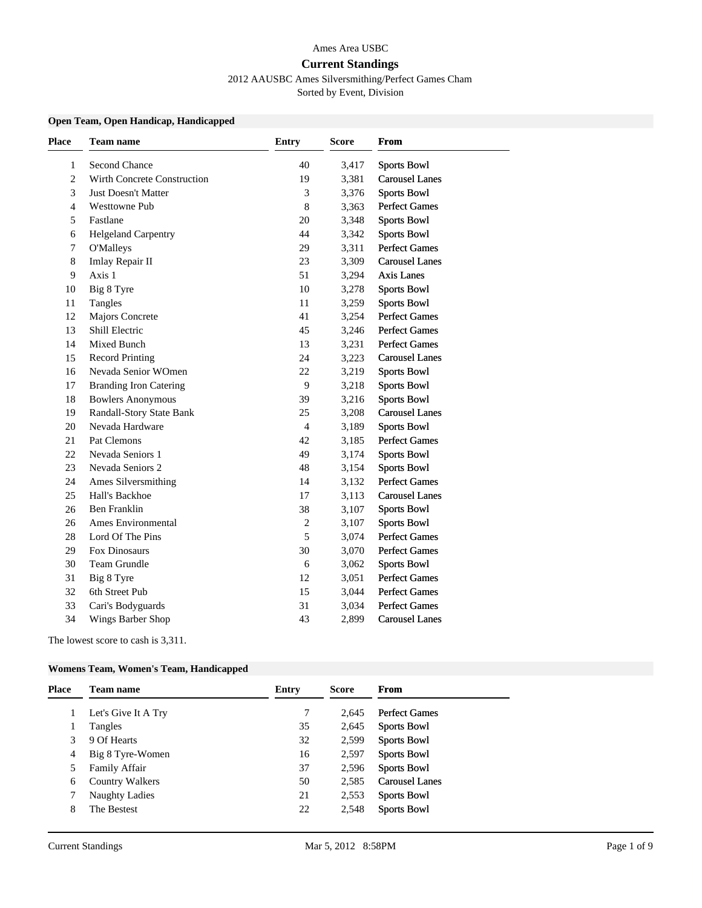#### Ames Area USBC

#### **Current Standings**

2012 AAUSBC Ames Silversmithing/Perfect Games Cham

Sorted by Event, Division

## **Open Team, Open Handicap, Handicapped**

| <b>Place</b> | <b>Team name</b>              | <b>Entry</b>   | <b>Score</b> | From                  |
|--------------|-------------------------------|----------------|--------------|-----------------------|
| 1            | Second Chance                 | 40             | 3,417        | <b>Sports Bowl</b>    |
| 2            | Wirth Concrete Construction   | 19             | 3,381        | <b>Carousel Lanes</b> |
| 3            | <b>Just Doesn't Matter</b>    | 3              | 3,376        | <b>Sports Bowl</b>    |
| 4            | <b>Westtowne Pub</b>          | $\,8\,$        | 3,363        | Perfect Games         |
| 5            | Fastlane                      | 20             | 3,348        | <b>Sports Bowl</b>    |
| 6            | <b>Helgeland Carpentry</b>    | 44             | 3,342        | <b>Sports Bowl</b>    |
| 7            | <b>O'Malleys</b>              | 29             | 3,311        | <b>Perfect Games</b>  |
| 8            | Imlay Repair II               | 23             | 3,309        | <b>Carousel Lanes</b> |
| 9            | Axis 1                        | 51             | 3,294        | Axis Lanes            |
| 10           | Big 8 Tyre                    | 10             | 3,278        | <b>Sports Bowl</b>    |
| 11           | Tangles                       | 11             | 3,259        | <b>Sports Bowl</b>    |
| 12           | <b>Majors Concrete</b>        | 41             | 3,254        | <b>Perfect Games</b>  |
| 13           | Shill Electric                | 45             | 3,246        | Perfect Games         |
| 14           | Mixed Bunch                   | 13             | 3,231        | <b>Perfect Games</b>  |
| 15           | <b>Record Printing</b>        | 24             | 3,223        | <b>Carousel Lanes</b> |
| 16           | Nevada Senior WOmen           | 22             | 3,219        | <b>Sports Bowl</b>    |
| 17           | <b>Branding Iron Catering</b> | 9              | 3,218        | <b>Sports Bowl</b>    |
| 18           | <b>Bowlers Anonymous</b>      | 39             | 3,216        | <b>Sports Bowl</b>    |
| 19           | Randall-Story State Bank      | 25             | 3,208        | <b>Carousel Lanes</b> |
| 20           | Nevada Hardware               | $\overline{4}$ | 3,189        | <b>Sports Bowl</b>    |
| 21           | Pat Clemons                   | 42             | 3,185        | <b>Perfect Games</b>  |
| 22           | Nevada Seniors 1              | 49             | 3,174        | <b>Sports Bowl</b>    |
| 23           | Nevada Seniors 2              | 48             | 3,154        | <b>Sports Bowl</b>    |
| 24           | Ames Silversmithing           | 14             | 3,132        | <b>Perfect Games</b>  |
| 25           | Hall's Backhoe                | 17             | 3,113        | <b>Carousel Lanes</b> |
| 26           | <b>Ben Franklin</b>           | 38             | 3,107        | <b>Sports Bowl</b>    |
| 26           | <b>Ames Environmental</b>     | $\sqrt{2}$     | 3,107        | <b>Sports Bowl</b>    |
| 28           | Lord Of The Pins              | 5              | 3,074        | <b>Perfect Games</b>  |
| 29           | Fox Dinosaurs                 | 30             | 3,070        | Perfect Games         |
| 30           | <b>Team Grundle</b>           | 6              | 3,062        | <b>Sports Bowl</b>    |
| 31           | Big 8 Tyre                    | 12             | 3,051        | <b>Perfect Games</b>  |
| 32           | 6th Street Pub                | 15             | 3,044        | Perfect Games         |
| 33           | Cari's Bodyguards             | 31             | 3,034        | <b>Perfect Games</b>  |
| 34           | Wings Barber Shop             | 43             | 2,899        | <b>Carousel Lanes</b> |
|              |                               |                |              |                       |

The lowest score to cash is 3,311.

#### **Womens Team, Women's Team, Handicapped**

|         |                        |    | <b>Score</b> | <b>From</b>           |
|---------|------------------------|----|--------------|-----------------------|
|         | Let's Give It A Try    |    | 2.645        | <b>Perfect Games</b>  |
| Tangles |                        | 35 | 2,645        | <b>Sports Bowl</b>    |
| 3       | 9 Of Hearts            | 32 | 2,599        | <b>Sports Bowl</b>    |
| 4       | Big 8 Tyre-Women       | 16 | 2,597        | <b>Sports Bowl</b>    |
| 5       | Family Affair          | 37 | 2,596        | <b>Sports Bowl</b>    |
| 6       | <b>Country Walkers</b> | 50 | 2,585        | <b>Carousel Lanes</b> |
|         | <b>Naughty Ladies</b>  | 21 | 2,553        | <b>Sports Bowl</b>    |
| 8       | The Bestest            | 22 | 2,548        | <b>Sports Bowl</b>    |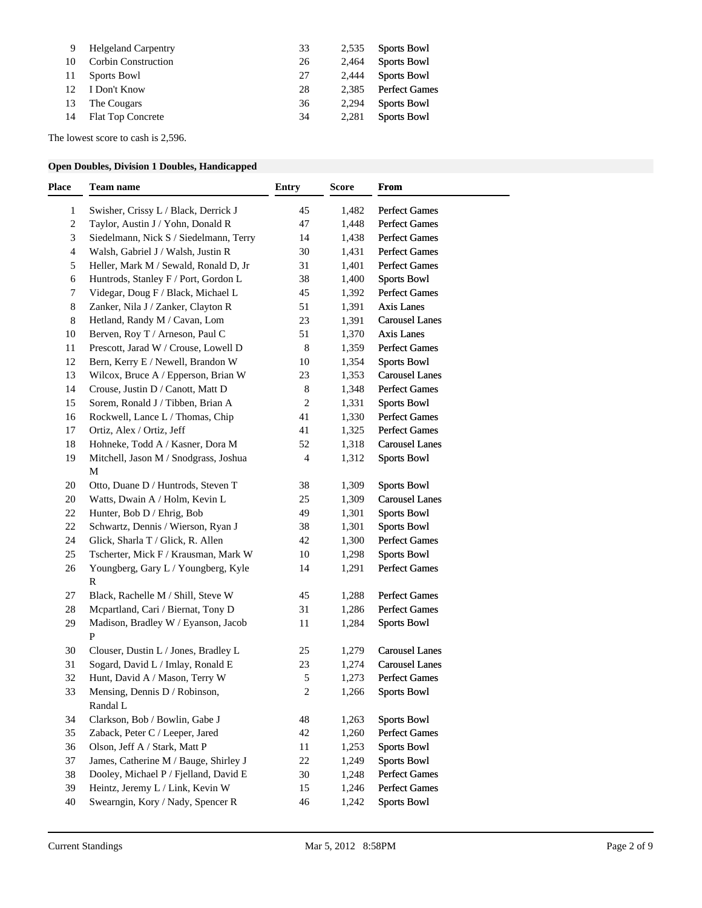| 9  | <b>Helgeland Carpentry</b> | 33 | 2,535 | <b>Sports Bowl</b>   |
|----|----------------------------|----|-------|----------------------|
| 10 | <b>Corbin Construction</b> | 26 | 2.464 | <b>Sports Bowl</b>   |
| 11 | <b>Sports Bowl</b>         | 27 | 2,444 | <b>Sports Bowl</b>   |
| 12 | I Don't Know               | 28 | 2.385 | <b>Perfect Games</b> |
| 13 | The Cougars                | 36 | 2.294 | <b>Sports Bowl</b>   |
| 14 | <b>Flat Top Concrete</b>   | 34 | 2.281 | <b>Sports Bowl</b>   |

The lowest score to cash is 2,596.

# **Open Doubles, Division 1 Doubles, Handicapped**

| Place | Team name                                 | <b>Entry</b>            | Score | From                  |
|-------|-------------------------------------------|-------------------------|-------|-----------------------|
| 1     | Swisher, Crissy L / Black, Derrick J      | 45                      | 1,482 | <b>Perfect Games</b>  |
| 2     | Taylor, Austin J / Yohn, Donald R         | 47                      | 1,448 | <b>Perfect Games</b>  |
| 3     | Siedelmann, Nick S / Siedelmann, Terry    | 14                      | 1,438 | <b>Perfect Games</b>  |
| 4     | Walsh, Gabriel J / Walsh, Justin R        | 30                      | 1,431 | <b>Perfect Games</b>  |
| 5     | Heller, Mark M / Sewald, Ronald D, Jr     | 31                      | 1,401 | <b>Perfect Games</b>  |
| 6     | Huntrods, Stanley F / Port, Gordon L      | 38                      | 1,400 | <b>Sports Bowl</b>    |
| 7     | Videgar, Doug F / Black, Michael L        | 45                      | 1,392 | <b>Perfect Games</b>  |
| 8     | Zanker, Nila J / Zanker, Clayton R        | 51                      | 1,391 | Axis Lanes            |
| 8     | Hetland, Randy M / Cavan, Lom             | 23                      | 1,391 | <b>Carousel Lanes</b> |
| 10    | Berven, Roy T / Arneson, Paul C           | 51                      | 1,370 | <b>Axis Lanes</b>     |
| 11    | Prescott, Jarad W / Crouse, Lowell D      | $\,8\,$                 | 1,359 | <b>Perfect Games</b>  |
| 12    | Bern, Kerry E / Newell, Brandon W         | 10                      | 1,354 | <b>Sports Bowl</b>    |
| 13    | Wilcox, Bruce A / Epperson, Brian W       | 23                      | 1,353 | <b>Carousel Lanes</b> |
| 14    | Crouse, Justin D / Canott, Matt D         | $\,8\,$                 | 1,348 | <b>Perfect Games</b>  |
| 15    | Sorem, Ronald J / Tibben, Brian A         | 2                       | 1,331 | <b>Sports Bowl</b>    |
| 16    | Rockwell, Lance L / Thomas, Chip          | 41                      | 1,330 | <b>Perfect Games</b>  |
| 17    | Ortiz, Alex / Ortiz, Jeff                 | 41                      | 1,325 | <b>Perfect Games</b>  |
| 18    | Hohneke, Todd A / Kasner, Dora M          | 52                      | 1,318 | <b>Carousel Lanes</b> |
| 19    | Mitchell, Jason M / Snodgrass, Joshua     | 4                       | 1,312 | <b>Sports Bowl</b>    |
|       | M                                         |                         |       |                       |
| 20    | Otto, Duane D / Huntrods, Steven T        | 38                      | 1,309 | <b>Sports Bowl</b>    |
| 20    | Watts, Dwain A / Holm, Kevin L            | 25                      | 1,309 | <b>Carousel Lanes</b> |
| 22    | Hunter, Bob D / Ehrig, Bob                | 49                      | 1,301 | <b>Sports Bowl</b>    |
| 22    | Schwartz, Dennis / Wierson, Ryan J        | 38                      | 1,301 | <b>Sports Bowl</b>    |
| 24    | Glick, Sharla T / Glick, R. Allen         | 42                      | 1,300 | <b>Perfect Games</b>  |
| 25    | Tscherter, Mick F / Krausman, Mark W      | 10                      | 1,298 | <b>Sports Bowl</b>    |
| 26    | Youngberg, Gary L / Youngberg, Kyle       | 14                      | 1,291 | <b>Perfect Games</b>  |
|       | $\mathbb{R}$                              |                         |       |                       |
| 27    | Black, Rachelle M / Shill, Steve W        | 45                      | 1,288 | <b>Perfect Games</b>  |
| 28    | Mcpartland, Cari / Biernat, Tony D        | 31                      | 1,286 | <b>Perfect Games</b>  |
| 29    | Madison, Bradley W / Eyanson, Jacob       | 11                      | 1,284 | <b>Sports Bowl</b>    |
|       | $\mathbf{P}$                              |                         |       |                       |
| 30    | Clouser, Dustin L / Jones, Bradley L      | 25                      | 1,279 | <b>Carousel Lanes</b> |
| 31    | Sogard, David L / Imlay, Ronald E         | 23                      | 1,274 | <b>Carousel Lanes</b> |
| 32    | Hunt, David A / Mason, Terry W            | 5                       | 1,273 | <b>Perfect Games</b>  |
| 33    | Mensing, Dennis D / Robinson,<br>Randal L | $\overline{\mathbf{c}}$ | 1,266 | Sports Bowl           |
| 34    | Clarkson, Bob / Bowlin, Gabe J            | 48                      | 1,263 | Sports Bowl           |
| 35    | Zaback, Peter C / Leeper, Jared           | 42                      | 1,260 | <b>Perfect Games</b>  |
| 36    | Olson, Jeff A / Stark, Matt P             | 11                      | 1,253 | <b>Sports Bowl</b>    |
| 37    | James, Catherine M / Bauge, Shirley J     | 22                      | 1,249 | Sports Bowl           |
| 38    | Dooley, Michael P / Fjelland, David E     | 30                      | 1,248 | <b>Perfect Games</b>  |
| 39    | Heintz, Jeremy L / Link, Kevin W          | 15                      | 1,246 | <b>Perfect Games</b>  |
| 40    | Swearngin, Kory / Nady, Spencer R         | 46                      | 1,242 | <b>Sports Bowl</b>    |
|       |                                           |                         |       |                       |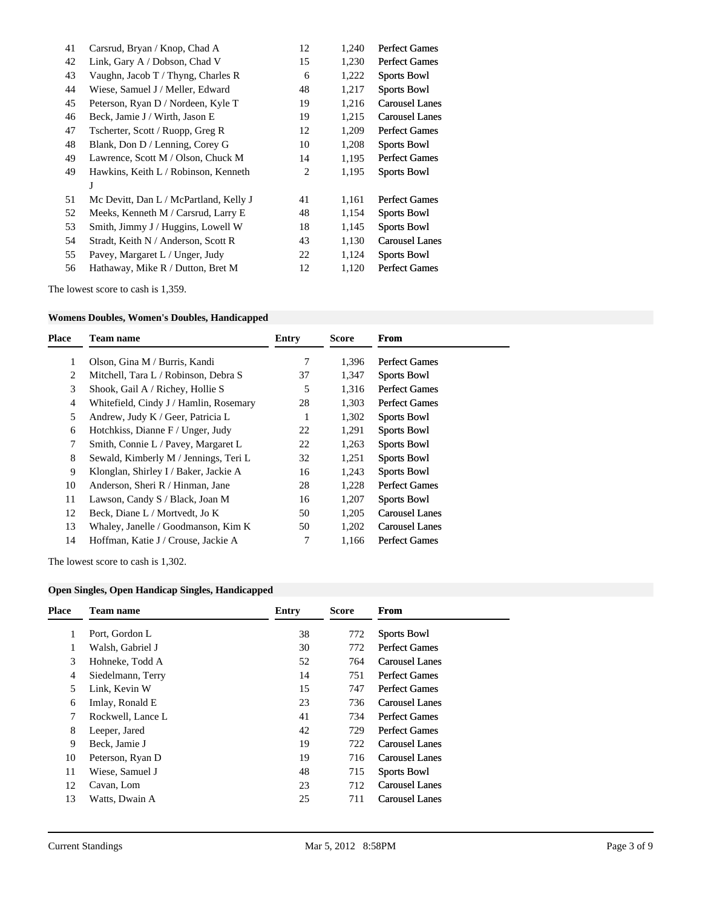| 41 | Carsrud, Bryan / Knop, Chad A          | 12 | 1,240 | <b>Perfect Games</b>  |
|----|----------------------------------------|----|-------|-----------------------|
| 42 | Link, Gary A / Dobson, Chad V          | 15 | 1,230 | Perfect Games         |
| 43 | Vaughn, Jacob T / Thyng, Charles R     | 6  | 1,222 | <b>Sports Bowl</b>    |
| 44 | Wiese, Samuel J / Meller, Edward       | 48 | 1,217 | <b>Sports Bowl</b>    |
| 45 | Peterson, Ryan D / Nordeen, Kyle T     | 19 | 1,216 | <b>Carousel Lanes</b> |
| 46 | Beck, Jamie J / Wirth, Jason E         | 19 | 1,215 | <b>Carousel Lanes</b> |
| 47 | Tscherter, Scott / Ruopp, Greg R       | 12 | 1,209 | <b>Perfect Games</b>  |
| 48 | Blank, Don D / Lenning, Corey G        | 10 | 1,208 | <b>Sports Bowl</b>    |
| 49 | Lawrence, Scott M / Olson, Chuck M     | 14 | 1,195 | <b>Perfect Games</b>  |
| 49 | Hawkins, Keith L / Robinson, Kenneth   | 2  | 1,195 | <b>Sports Bowl</b>    |
|    | J                                      |    |       |                       |
| 51 | Mc Devitt, Dan L / McPartland, Kelly J | 41 | 1,161 | <b>Perfect Games</b>  |
| 52 | Meeks, Kenneth M / Carsrud, Larry E    | 48 | 1,154 | <b>Sports Bowl</b>    |
| 53 | Smith, Jimmy J / Huggins, Lowell W     | 18 | 1,145 | <b>Sports Bowl</b>    |
| 54 | Stradt, Keith N / Anderson, Scott R    | 43 | 1,130 | Carousel Lanes        |
| 55 | Pavey, Margaret L / Unger, Judy        | 22 | 1,124 | <b>Sports Bowl</b>    |
| 56 | Hathaway, Mike R / Dutton, Bret M      | 12 | 1,120 | <b>Perfect Games</b>  |

The lowest score to cash is 1,359.

# **Womens Doubles, Women's Doubles, Handicapped**

| Place | Team name                              | <b>Entry</b> | <b>Score</b> | From                  |
|-------|----------------------------------------|--------------|--------------|-----------------------|
|       | Olson, Gina M / Burris, Kandi          |              | 1,396        | <b>Perfect Games</b>  |
| 2     | Mitchell, Tara L / Robinson, Debra S   | 37           | 1,347        | <b>Sports Bowl</b>    |
| 3     | Shook, Gail A / Richey, Hollie S       | 5            | 1,316        | <b>Perfect Games</b>  |
| 4     | Whitefield, Cindy J / Hamlin, Rosemary | 28           | 1,303        | <b>Perfect Games</b>  |
| 5     | Andrew, Judy K / Geer, Patricia L      |              | 1,302        | <b>Sports Bowl</b>    |
| 6     | Hotchkiss, Dianne F / Unger, Judy      | 22           | 1,291        | <b>Sports Bowl</b>    |
| 7     | Smith, Connie L / Pavey, Margaret L    | 22           | 1,263        | <b>Sports Bowl</b>    |
| 8     | Sewald, Kimberly M / Jennings, Teri L  | 32           | 1,251        | <b>Sports Bowl</b>    |
| 9     | Klonglan, Shirley I / Baker, Jackie A  | 16           | 1,243        | <b>Sports Bowl</b>    |
| 10    | Anderson, Sheri R / Hinman, Jane       | 28           | 1,228        | <b>Perfect Games</b>  |
| 11    | Lawson, Candy S / Black, Joan M        | 16           | 1,207        | <b>Sports Bowl</b>    |
| 12    | Beck, Diane L / Mortvedt, Jo K         | 50           | 1,205        | <b>Carousel Lanes</b> |
| 13    | Whaley, Janelle / Goodmanson, Kim K    | 50           | 1,202        | <b>Carousel Lanes</b> |
| 14    | Hoffman, Katie J / Crouse, Jackie A    | 7            | 1.166        | <b>Perfect Games</b>  |
|       |                                        |              |              |                       |

The lowest score to cash is 1,302.

# **Open Singles, Open Handicap Singles, Handicapped**

| 38<br>Port, Gordon L<br>772<br><b>Sports Bowl</b><br>1<br><b>Perfect Games</b><br>Walsh, Gabriel J<br>30<br>772<br>3<br>Hohneke, Todd A<br>52<br>Carousel Lanes<br>764<br>14<br>751<br><b>Perfect Games</b><br>Siedelmann, Terry<br>$\overline{4}$<br>15<br>5<br><b>Perfect Games</b><br>Link, Kevin W<br>747<br>23<br>736<br>Carousel Lanes<br>Imlay, Ronald E<br>6<br>41<br><b>Perfect Games</b><br>Rockwell, Lance L<br>734<br><b>Perfect Games</b><br>8<br>42<br>729<br>Leeper, Jared<br>9<br>Beck, Jamie J<br>19<br>722<br><b>Carousel Lanes</b> |
|-------------------------------------------------------------------------------------------------------------------------------------------------------------------------------------------------------------------------------------------------------------------------------------------------------------------------------------------------------------------------------------------------------------------------------------------------------------------------------------------------------------------------------------------------------|
|                                                                                                                                                                                                                                                                                                                                                                                                                                                                                                                                                       |
|                                                                                                                                                                                                                                                                                                                                                                                                                                                                                                                                                       |
|                                                                                                                                                                                                                                                                                                                                                                                                                                                                                                                                                       |
|                                                                                                                                                                                                                                                                                                                                                                                                                                                                                                                                                       |
|                                                                                                                                                                                                                                                                                                                                                                                                                                                                                                                                                       |
|                                                                                                                                                                                                                                                                                                                                                                                                                                                                                                                                                       |
|                                                                                                                                                                                                                                                                                                                                                                                                                                                                                                                                                       |
|                                                                                                                                                                                                                                                                                                                                                                                                                                                                                                                                                       |
|                                                                                                                                                                                                                                                                                                                                                                                                                                                                                                                                                       |
| 19<br>10<br>716<br>Carousel Lanes<br>Peterson, Ryan D                                                                                                                                                                                                                                                                                                                                                                                                                                                                                                 |
| 48<br>11<br>Wiese, Samuel J<br>715<br><b>Sports Bowl</b>                                                                                                                                                                                                                                                                                                                                                                                                                                                                                              |
| 23<br><b>Carousel Lanes</b><br>12<br>Cavan, Lom<br>712                                                                                                                                                                                                                                                                                                                                                                                                                                                                                                |
| 13<br>Watts, Dwain A<br>25<br>711<br>Carousel Lanes                                                                                                                                                                                                                                                                                                                                                                                                                                                                                                   |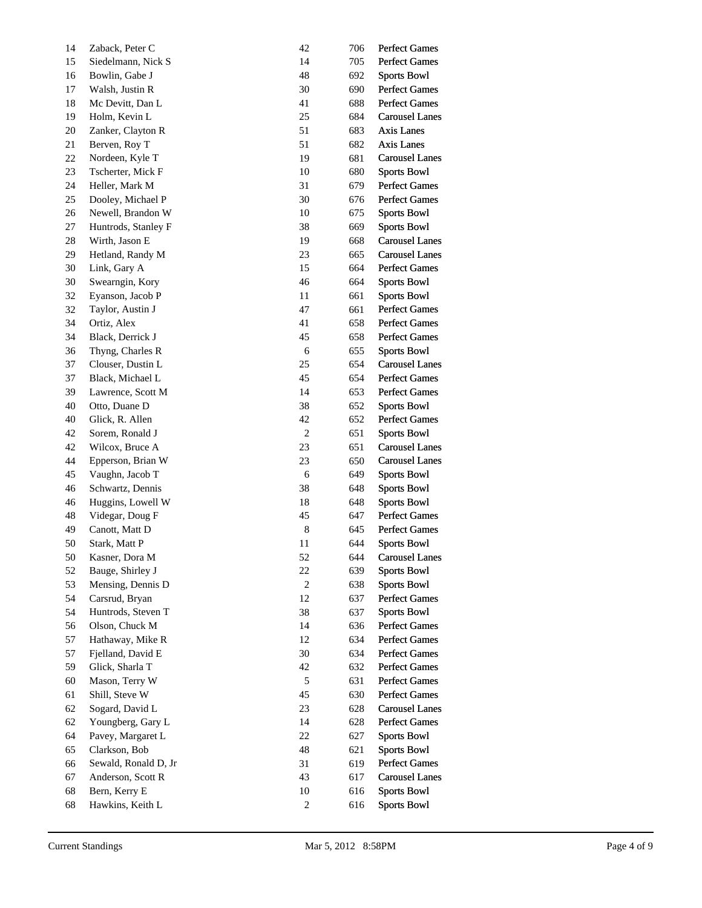| 14 | Zaback, Peter C      | 42               | 706 | <b>Perfect Games</b>  |
|----|----------------------|------------------|-----|-----------------------|
| 15 | Siedelmann, Nick S   | 14               | 705 | <b>Perfect Games</b>  |
| 16 | Bowlin, Gabe J       | 48               | 692 | <b>Sports Bowl</b>    |
| 17 | Walsh, Justin R      | 30               | 690 | <b>Perfect Games</b>  |
| 18 | Mc Devitt, Dan L     | 41               | 688 | <b>Perfect Games</b>  |
| 19 | Holm, Kevin L        | 25               | 684 | <b>Carousel Lanes</b> |
| 20 | Zanker, Clayton R    | 51               | 683 | Axis Lanes            |
| 21 | Berven, Roy T        | 51               | 682 | Axis Lanes            |
| 22 | Nordeen, Kyle T      | 19               | 681 | <b>Carousel Lanes</b> |
| 23 | Tscherter, Mick F    | 10               | 680 | <b>Sports Bowl</b>    |
| 24 | Heller, Mark M       | 31               | 679 | <b>Perfect Games</b>  |
| 25 | Dooley, Michael P    | 30               | 676 | <b>Perfect Games</b>  |
| 26 | Newell, Brandon W    | 10               | 675 | <b>Sports Bowl</b>    |
| 27 | Huntrods, Stanley F  | 38               | 669 | <b>Sports Bowl</b>    |
| 28 | Wirth, Jason E       | 19               | 668 | <b>Carousel Lanes</b> |
| 29 | Hetland, Randy M     | 23               | 665 | <b>Carousel Lanes</b> |
| 30 | Link, Gary A         | 15               | 664 | <b>Perfect Games</b>  |
| 30 | Swearngin, Kory      | 46               | 664 | <b>Sports Bowl</b>    |
| 32 | Eyanson, Jacob P     | 11               | 661 | <b>Sports Bowl</b>    |
| 32 | Taylor, Austin J     | 47               | 661 | <b>Perfect Games</b>  |
| 34 | Ortiz, Alex          | 41               | 658 | <b>Perfect Games</b>  |
| 34 | Black, Derrick J     | 45               | 658 | <b>Perfect Games</b>  |
| 36 | Thyng, Charles R     | 6                | 655 | <b>Sports Bowl</b>    |
| 37 | Clouser, Dustin L    | 25               | 654 | <b>Carousel Lanes</b> |
| 37 | Black, Michael L     | 45               | 654 | <b>Perfect Games</b>  |
| 39 | Lawrence, Scott M    | 14               | 653 | <b>Perfect Games</b>  |
| 40 | Otto, Duane D        | 38               | 652 | <b>Sports Bowl</b>    |
| 40 | Glick, R. Allen      | 42               | 652 | <b>Perfect Games</b>  |
| 42 | Sorem, Ronald J      | $\boldsymbol{2}$ | 651 | <b>Sports Bowl</b>    |
| 42 | Wilcox, Bruce A      | 23               | 651 | <b>Carousel Lanes</b> |
| 44 | Epperson, Brian W    | 23               | 650 | <b>Carousel Lanes</b> |
| 45 | Vaughn, Jacob T      | 6                | 649 | <b>Sports Bowl</b>    |
| 46 | Schwartz, Dennis     | 38               | 648 | <b>Sports Bowl</b>    |
| 46 | Huggins, Lowell W    | 18               | 648 | <b>Sports Bowl</b>    |
| 48 | Videgar, Doug F      | 45               | 647 | <b>Perfect Games</b>  |
| 49 | Canott, Matt D       | $\,$ 8 $\,$      | 645 | <b>Perfect Games</b>  |
| 50 | Stark, Matt P        | 11               | 644 | <b>Sports Bowl</b>    |
| 50 | Kasner, Dora M       | 52               | 644 | <b>Carousel Lanes</b> |
| 52 | Bauge, Shirley J     | 22               | 639 | <b>Sports Bowl</b>    |
| 53 | Mensing, Dennis D    | $\sqrt{2}$       | 638 | <b>Sports Bowl</b>    |
| 54 | Carsrud, Bryan       | 12               | 637 | Perfect Games         |
| 54 | Huntrods, Steven T   | 38               | 637 | <b>Sports Bowl</b>    |
| 56 | Olson, Chuck M       | 14               | 636 | <b>Perfect Games</b>  |
| 57 | Hathaway, Mike R     | 12               | 634 | <b>Perfect Games</b>  |
| 57 | Fjelland, David E    | 30               | 634 | <b>Perfect Games</b>  |
| 59 | Glick, Sharla T      | 42               | 632 | <b>Perfect Games</b>  |
| 60 | Mason, Terry W       | $\sqrt{5}$       | 631 | <b>Perfect Games</b>  |
| 61 | Shill, Steve W       | 45               | 630 | <b>Perfect Games</b>  |
| 62 | Sogard, David L      | 23               | 628 | <b>Carousel Lanes</b> |
| 62 | Youngberg, Gary L    | 14               | 628 | <b>Perfect Games</b>  |
| 64 | Pavey, Margaret L    | 22               | 627 | <b>Sports Bowl</b>    |
| 65 | Clarkson, Bob        | 48               | 621 | <b>Sports Bowl</b>    |
| 66 | Sewald, Ronald D, Jr | 31               | 619 | <b>Perfect Games</b>  |
| 67 | Anderson, Scott R    | 43               | 617 | <b>Carousel Lanes</b> |
| 68 | Bern, Kerry E        | 10               | 616 | <b>Sports Bowl</b>    |
| 68 | Hawkins, Keith L     | $\boldsymbol{2}$ | 616 | <b>Sports Bowl</b>    |
|    |                      |                  |     |                       |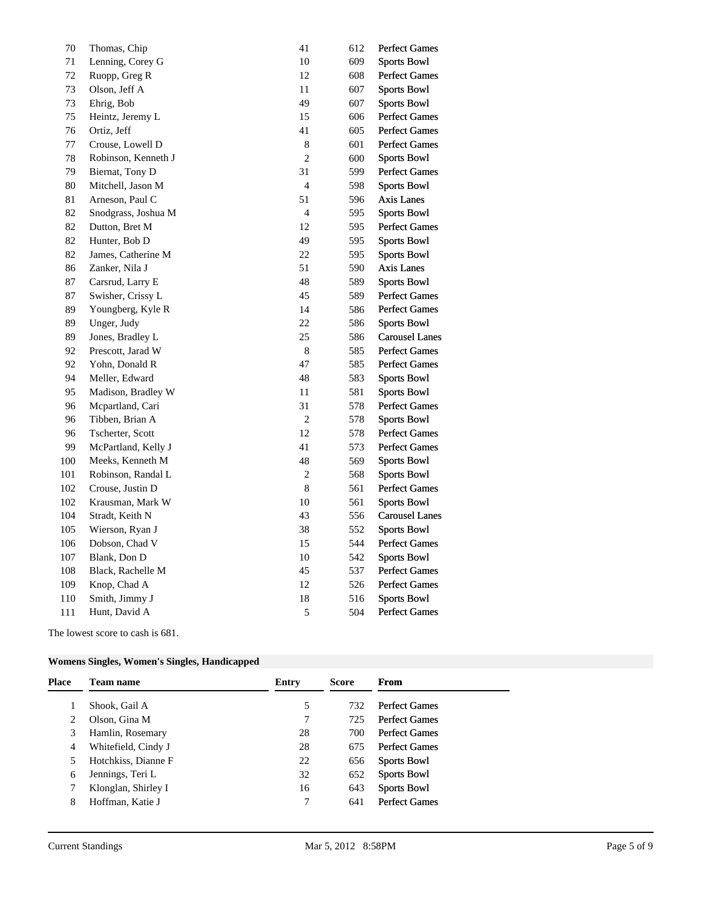| 70  | Thomas, Chip        | 41             | 612 | <b>Perfect Games</b>  |
|-----|---------------------|----------------|-----|-----------------------|
| 71  | Lenning, Corey G    | $10\,$         | 609 | <b>Sports Bowl</b>    |
| 72  | Ruopp, Greg R       | 12             | 608 | <b>Perfect Games</b>  |
| 73  | Olson, Jeff A       | 11             | 607 | <b>Sports Bowl</b>    |
| 73  | Ehrig, Bob          | 49             | 607 | <b>Sports Bowl</b>    |
| 75  | Heintz, Jeremy L    | 15             | 606 | <b>Perfect Games</b>  |
| 76  | Ortiz, Jeff         | 41             | 605 | <b>Perfect Games</b>  |
| 77  | Crouse, Lowell D    | 8              | 601 | <b>Perfect Games</b>  |
| 78  | Robinson, Kenneth J | $\overline{c}$ | 600 | <b>Sports Bowl</b>    |
| 79  | Biernat, Tony D     | 31             | 599 | <b>Perfect Games</b>  |
| 80  | Mitchell, Jason M   | $\overline{4}$ | 598 | <b>Sports Bowl</b>    |
| 81  | Arneson, Paul C     | 51             | 596 | <b>Axis Lanes</b>     |
| 82  | Snodgrass, Joshua M | $\overline{4}$ | 595 | <b>Sports Bowl</b>    |
| 82  | Dutton, Bret M      | 12             | 595 | <b>Perfect Games</b>  |
| 82  | Hunter, Bob D       | 49             | 595 | <b>Sports Bowl</b>    |
| 82  | James, Catherine M  | 22             | 595 | <b>Sports Bowl</b>    |
| 86  | Zanker, Nila J      | 51             | 590 | Axis Lanes            |
| 87  | Carsrud, Larry E    | 48             | 589 | <b>Sports Bowl</b>    |
| 87  | Swisher, Crissy L   | 45             | 589 | <b>Perfect Games</b>  |
| 89  | Youngberg, Kyle R   | 14             | 586 | <b>Perfect Games</b>  |
| 89  | Unger, Judy         | 22             | 586 | <b>Sports Bowl</b>    |
| 89  | Jones, Bradley L    | 25             | 586 | <b>Carousel Lanes</b> |
| 92  | Prescott, Jarad W   | $\,8\,$        | 585 | <b>Perfect Games</b>  |
| 92  | Yohn, Donald R      | 47             | 585 | <b>Perfect Games</b>  |
| 94  | Meller, Edward      | 48             | 583 | <b>Sports Bowl</b>    |
| 95  | Madison, Bradley W  | 11             | 581 | <b>Sports Bowl</b>    |
| 96  | Mcpartland, Cari    | 31             | 578 | Perfect Games         |
| 96  | Tibben, Brian A     | $\sqrt{2}$     | 578 | <b>Sports Bowl</b>    |
| 96  | Tscherter, Scott    | 12             | 578 | <b>Perfect Games</b>  |
| 99  | McPartland, Kelly J | 41             | 573 | <b>Perfect Games</b>  |
| 100 | Meeks, Kenneth M    | 48             | 569 | <b>Sports Bowl</b>    |
| 101 | Robinson, Randal L  | $\sqrt{2}$     | 568 | <b>Sports Bowl</b>    |
| 102 | Crouse, Justin D    | $\,8\,$        | 561 | <b>Perfect Games</b>  |
| 102 | Krausman, Mark W    | 10             | 561 | <b>Sports Bowl</b>    |
| 104 | Stradt, Keith N     | 43             | 556 | <b>Carousel Lanes</b> |
| 105 | Wierson, Ryan J     | 38             | 552 | <b>Sports Bowl</b>    |
| 106 | Dobson, Chad V      | 15             | 544 | <b>Perfect Games</b>  |
| 107 | Blank, Don D        | 10             | 542 | <b>Sports Bowl</b>    |
| 108 | Black, Rachelle M   | 45             | 537 | <b>Perfect Games</b>  |
| 109 | Knop, Chad A        | 12             | 526 | <b>Perfect Games</b>  |
| 110 | Smith, Jimmy J      | 18             | 516 | <b>Sports Bowl</b>    |
| 111 | Hunt, David A       | $\mathfrak s$  | 504 | <b>Perfect Games</b>  |
|     |                     |                |     |                       |

The lowest score to cash is 681.

# **Womens Singles, Women's Singles, Handicapped**

| Place | <b>Team name</b>    | <b>Entry</b> | <b>Score</b> | From                 |
|-------|---------------------|--------------|--------------|----------------------|
|       | Shook, Gail A       | 5            | 732          | <b>Perfect Games</b> |
|       | Olson, Gina M       | 7            | 725          | <b>Perfect Games</b> |
| 3     | Hamlin, Rosemary    | 28           | 700          | <b>Perfect Games</b> |
| 4     | Whitefield, Cindy J | 28           | 675          | <b>Perfect Games</b> |
| 5     | Hotchkiss, Dianne F | 22           | 656          | <b>Sports Bowl</b>   |
| 6     | Jennings, Teri L    | 32           | 652          | <b>Sports Bowl</b>   |
|       | Klonglan, Shirley I | 16           | 643          | <b>Sports Bowl</b>   |
| 8     | Hoffman, Katie J    | 7            | 641          | <b>Perfect Games</b> |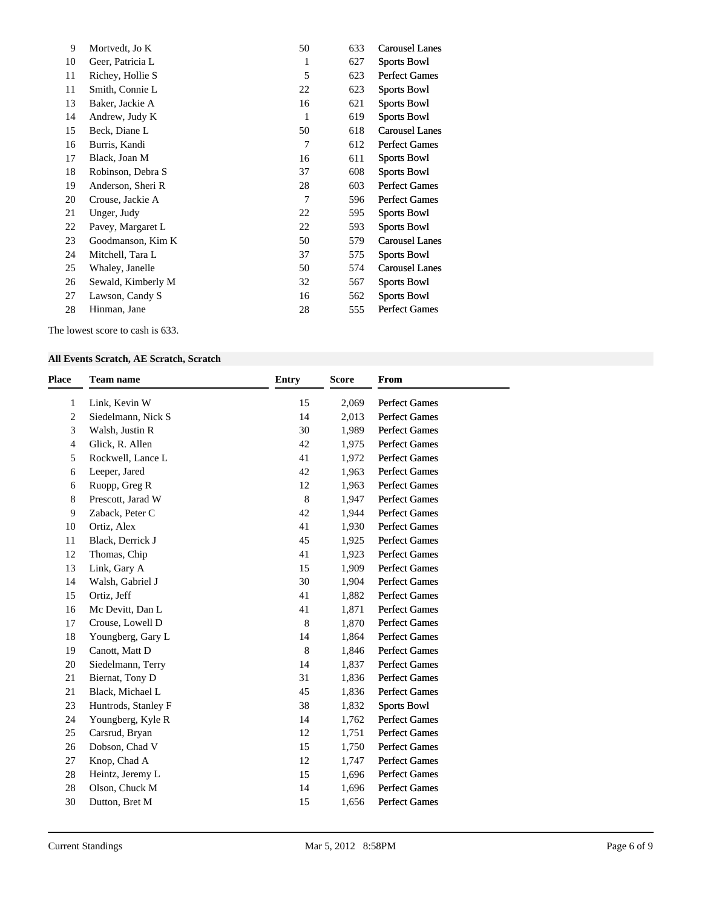| 9  | Mortvedt, Jo K     | 50 | 633 | <b>Carousel Lanes</b> |
|----|--------------------|----|-----|-----------------------|
| 10 | Geer, Patricia L   | 1  | 627 | <b>Sports Bowl</b>    |
| 11 | Richey, Hollie S   | 5  | 623 | <b>Perfect Games</b>  |
| 11 | Smith, Connie L    | 22 | 623 | <b>Sports Bowl</b>    |
| 13 | Baker, Jackie A    | 16 | 621 | <b>Sports Bowl</b>    |
| 14 | Andrew, Judy K     | 1  | 619 | <b>Sports Bowl</b>    |
| 15 | Beck, Diane L      | 50 | 618 | <b>Carousel Lanes</b> |
| 16 | Burris, Kandi      | 7  | 612 | <b>Perfect Games</b>  |
| 17 | Black, Joan M      | 16 | 611 | <b>Sports Bowl</b>    |
| 18 | Robinson, Debra S  | 37 | 608 | <b>Sports Bowl</b>    |
| 19 | Anderson, Sheri R  | 28 | 603 | <b>Perfect Games</b>  |
| 20 | Crouse, Jackie A   | 7  | 596 | <b>Perfect Games</b>  |
| 21 | Unger, Judy        | 22 | 595 | <b>Sports Bowl</b>    |
| 22 | Pavey, Margaret L  | 22 | 593 | <b>Sports Bowl</b>    |
| 23 | Goodmanson, Kim K  | 50 | 579 | Carousel Lanes        |
| 24 | Mitchell, Tara L   | 37 | 575 | <b>Sports Bowl</b>    |
| 25 | Whaley, Janelle    | 50 | 574 | <b>Carousel Lanes</b> |
| 26 | Sewald, Kimberly M | 32 | 567 | Sports Bowl           |
| 27 | Lawson, Candy S    | 16 | 562 | <b>Sports Bowl</b>    |
| 28 | Hinman, Jane       | 28 | 555 | <b>Perfect Games</b>  |
|    |                    |    |     |                       |

The lowest score to cash is 633.

## **All Events Scratch, AE Scratch, Scratch**

| <b>Place</b>   | <b>Team name</b>    | <b>Entry</b> | <b>Score</b> | From                 |
|----------------|---------------------|--------------|--------------|----------------------|
| 1              | Link, Kevin W       | 15           | 2,069        | <b>Perfect Games</b> |
| 2              | Siedelmann, Nick S  | 14           | 2,013        | <b>Perfect Games</b> |
| 3              | Walsh, Justin R     | 30           | 1,989        | <b>Perfect Games</b> |
| $\overline{4}$ | Glick, R. Allen     | 42           | 1,975        | <b>Perfect Games</b> |
| 5              | Rockwell, Lance L   | 41           | 1,972        | <b>Perfect Games</b> |
| 6              | Leeper, Jared       | 42           | 1,963        | <b>Perfect Games</b> |
| 6              | Ruopp, Greg R       | 12           | 1,963        | <b>Perfect Games</b> |
| 8              | Prescott, Jarad W   | $\,8\,$      | 1,947        | <b>Perfect Games</b> |
| 9              | Zaback, Peter C     | 42           | 1,944        | <b>Perfect Games</b> |
| 10             | Ortiz, Alex         | 41           | 1,930        | <b>Perfect Games</b> |
| 11             | Black, Derrick J    | 45           | 1,925        | <b>Perfect Games</b> |
| 12             | Thomas, Chip        | 41           | 1,923        | <b>Perfect Games</b> |
| 13             | Link, Gary A        | 15           | 1,909        | <b>Perfect Games</b> |
| 14             | Walsh, Gabriel J    | 30           | 1,904        | <b>Perfect Games</b> |
| 15             | Ortiz, Jeff         | 41           | 1,882        | <b>Perfect Games</b> |
| 16             | Mc Devitt, Dan L    | 41           | 1,871        | <b>Perfect Games</b> |
| 17             | Crouse, Lowell D    | $\,8\,$      | 1,870        | <b>Perfect Games</b> |
| 18             | Youngberg, Gary L   | 14           | 1,864        | <b>Perfect Games</b> |
| 19             | Canott, Matt D      | 8            | 1,846        | <b>Perfect Games</b> |
| 20             | Siedelmann, Terry   | 14           | 1,837        | <b>Perfect Games</b> |
| 21             | Biernat, Tony D     | 31           | 1,836        | <b>Perfect Games</b> |
| 21             | Black, Michael L    | 45           | 1,836        | <b>Perfect Games</b> |
| 23             | Huntrods, Stanley F | 38           | 1,832        | <b>Sports Bowl</b>   |
| 24             | Youngberg, Kyle R   | 14           | 1,762        | <b>Perfect Games</b> |
| 25             | Carsrud, Bryan      | 12           | 1,751        | <b>Perfect Games</b> |
| 26             | Dobson, Chad V      | 15           | 1,750        | <b>Perfect Games</b> |
| 27             | Knop, Chad A        | 12           | 1,747        | <b>Perfect Games</b> |
| 28             | Heintz, Jeremy L    | 15           | 1,696        | <b>Perfect Games</b> |
| 28             | Olson, Chuck M      | 14           | 1,696        | <b>Perfect Games</b> |
| 30             | Dutton, Bret M      | 15           | 1,656        | <b>Perfect Games</b> |
|                |                     |              |              |                      |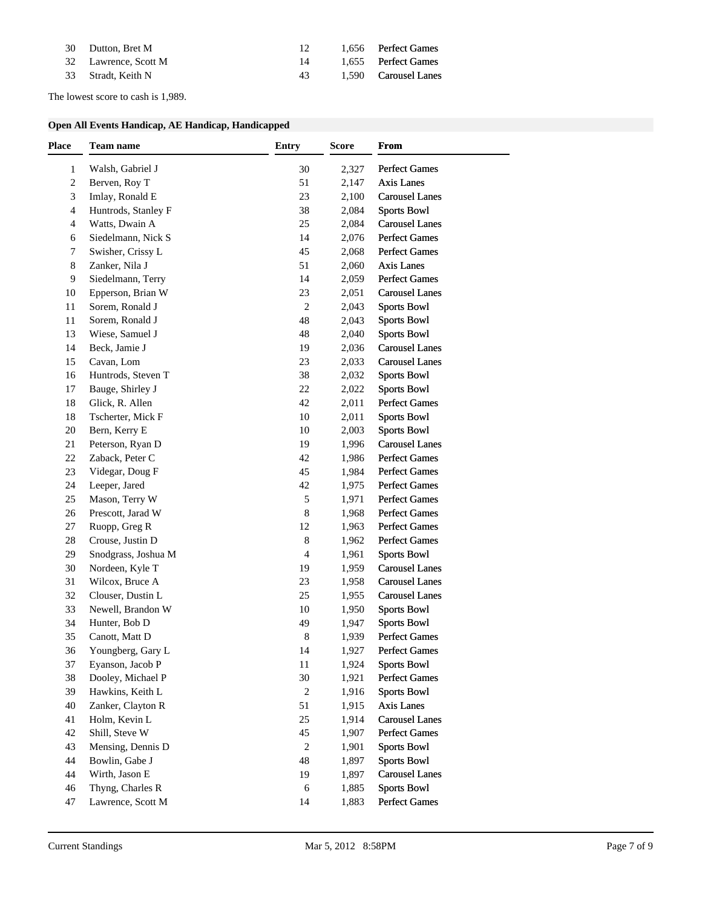| 30 Dutton, Bret M    |     | 1.656 Perfect Games  |
|----------------------|-----|----------------------|
| 32 Lawrence, Scott M | 14  | 1.655 Perfect Games  |
| 33 Stradt, Keith N   | 43. | 1.590 Carousel Lanes |

The lowest score to cash is 1,989.

## **Open All Events Handicap, AE Handicap, Handicapped**

| Place            | Team name           | <b>Entry</b>   | <b>Score</b> | From                  |
|------------------|---------------------|----------------|--------------|-----------------------|
| 1                | Walsh, Gabriel J    | 30             | 2,327        | <b>Perfect Games</b>  |
| $\boldsymbol{2}$ | Berven, Roy T       | 51             | 2,147        | <b>Axis Lanes</b>     |
| 3                | Imlay, Ronald E     | 23             | 2,100        | <b>Carousel Lanes</b> |
| 4                | Huntrods, Stanley F | 38             | 2,084        | <b>Sports Bowl</b>    |
| 4                | Watts, Dwain A      | 25             | 2,084        | <b>Carousel Lanes</b> |
| 6                | Siedelmann, Nick S  | 14             | 2,076        | Perfect Games         |
| 7                | Swisher, Crissy L   | 45             | 2,068        | <b>Perfect Games</b>  |
| 8                | Zanker, Nila J      | 51             | 2,060        | <b>Axis Lanes</b>     |
| 9                | Siedelmann, Terry   | 14             | 2,059        | <b>Perfect Games</b>  |
| 10               | Epperson, Brian W   | 23             | 2,051        | <b>Carousel Lanes</b> |
| 11               | Sorem, Ronald J     | $\sqrt{2}$     | 2,043        | <b>Sports Bowl</b>    |
| 11               | Sorem, Ronald J     | 48             | 2,043        | <b>Sports Bowl</b>    |
| 13               | Wiese, Samuel J     | 48             | 2,040        | <b>Sports Bowl</b>    |
| 14               | Beck, Jamie J       | 19             | 2,036        | <b>Carousel Lanes</b> |
| 15               | Cavan, Lom          | 23             | 2,033        | <b>Carousel Lanes</b> |
| 16               | Huntrods, Steven T  | 38             | 2,032        | <b>Sports Bowl</b>    |
| 17               | Bauge, Shirley J    | 22             | 2,022        | <b>Sports Bowl</b>    |
| 18               | Glick, R. Allen     | 42             | 2,011        | Perfect Games         |
| 18               | Tscherter, Mick F   | 10             | 2,011        | <b>Sports Bowl</b>    |
| 20               | Bern, Kerry E       | 10             | 2,003        | <b>Sports Bowl</b>    |
| 21               | Peterson, Ryan D    | 19             | 1,996        | <b>Carousel Lanes</b> |
| 22               | Zaback, Peter C     | 42             | 1,986        | <b>Perfect Games</b>  |
| 23               | Videgar, Doug F     | 45             | 1,984        | <b>Perfect Games</b>  |
| 24               | Leeper, Jared       | 42             | 1,975        | Perfect Games         |
| 25               | Mason, Terry W      | $\sqrt{5}$     | 1,971        | Perfect Games         |
| 26               | Prescott, Jarad W   | $\,$ 8 $\,$    | 1,968        | <b>Perfect Games</b>  |
| 27               | Ruopp, Greg R       | 12             | 1,963        | Perfect Games         |
| 28               | Crouse, Justin D    | $\,8\,$        | 1,962        | Perfect Games         |
| 29               | Snodgrass, Joshua M | 4              | 1,961        | <b>Sports Bowl</b>    |
| 30               | Nordeen, Kyle T     | 19             | 1,959        | <b>Carousel Lanes</b> |
| 31               | Wilcox, Bruce A     | 23             | 1,958        | <b>Carousel Lanes</b> |
| 32               | Clouser, Dustin L   | 25             | 1,955        | <b>Carousel Lanes</b> |
| 33               | Newell, Brandon W   | 10             | 1,950        | <b>Sports Bowl</b>    |
| 34               | Hunter, Bob D       | 49             | 1,947        | <b>Sports Bowl</b>    |
| 35               | Canott, Matt D      | $\,8\,$        | 1,939        | Perfect Games         |
| 36               | Youngberg, Gary L   | 14             | 1,927        | <b>Perfect Games</b>  |
| 37               | Eyanson, Jacob P    | 11             | 1,924        | <b>Sports Bowl</b>    |
| 38               | Dooley, Michael P   | 30             | 1,921        | <b>Perfect Games</b>  |
| 39               | Hawkins, Keith L    | $\overline{2}$ | 1,916        | <b>Sports Bowl</b>    |
| 40               | Zanker, Clayton R   | 51             | 1,915        | Axis Lanes            |
| 41               | Holm, Kevin L       | 25             | 1,914        | <b>Carousel Lanes</b> |
| 42               | Shill, Steve W      | 45             | 1,907        | <b>Perfect Games</b>  |
| 43               | Mensing, Dennis D   | $\overline{2}$ | 1,901        | <b>Sports Bowl</b>    |
| 44               | Bowlin, Gabe J      | 48             | 1,897        | <b>Sports Bowl</b>    |
| 44               | Wirth, Jason E      | 19             |              | <b>Carousel Lanes</b> |
| 46               | Thyng, Charles R    | 6              | 1,897        | <b>Sports Bowl</b>    |
|                  |                     |                | 1,885        |                       |
| 47               | Lawrence, Scott M   | 14             | 1,883        | <b>Perfect Games</b>  |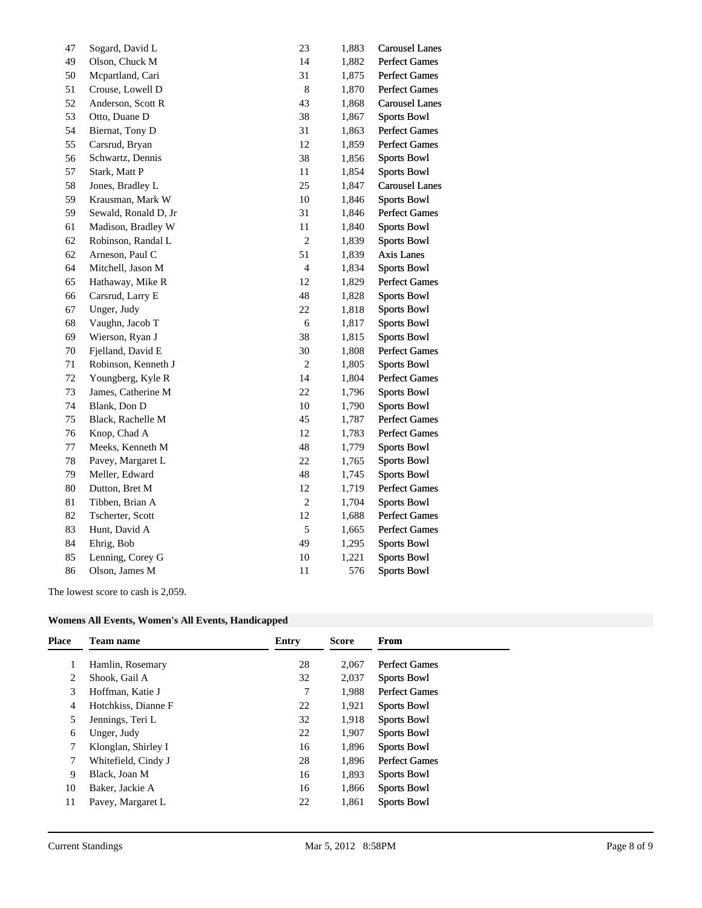| 47 | Sogard, David L      | 23             | 1,883 | <b>Carousel Lanes</b> |
|----|----------------------|----------------|-------|-----------------------|
| 49 | Olson, Chuck M       | 14             | 1,882 | <b>Perfect Games</b>  |
| 50 | Mcpartland, Cari     | 31             | 1,875 | Perfect Games         |
| 51 | Crouse, Lowell D     | $\,8\,$        | 1,870 | <b>Perfect Games</b>  |
| 52 | Anderson, Scott R    | 43             | 1,868 | <b>Carousel Lanes</b> |
| 53 | Otto, Duane D        | 38             | 1,867 | <b>Sports Bowl</b>    |
| 54 | Biernat, Tony D      | 31             | 1,863 | <b>Perfect Games</b>  |
| 55 | Carsrud, Bryan       | 12             | 1,859 | <b>Perfect Games</b>  |
| 56 | Schwartz, Dennis     | 38             | 1,856 | <b>Sports Bowl</b>    |
| 57 | Stark, Matt P        | $11\,$         | 1,854 | <b>Sports Bowl</b>    |
| 58 | Jones, Bradley L     | 25             | 1,847 | <b>Carousel Lanes</b> |
| 59 | Krausman, Mark W     | 10             | 1,846 | <b>Sports Bowl</b>    |
| 59 | Sewald, Ronald D, Jr | 31             | 1,846 | <b>Perfect Games</b>  |
| 61 | Madison, Bradley W   | 11             | 1,840 | <b>Sports Bowl</b>    |
| 62 | Robinson, Randal L   | $\sqrt{2}$     | 1,839 | <b>Sports Bowl</b>    |
| 62 | Arneson, Paul C      | 51             | 1,839 | Axis Lanes            |
| 64 | Mitchell, Jason M    | $\overline{4}$ | 1,834 | <b>Sports Bowl</b>    |
| 65 | Hathaway, Mike R     | 12             | 1,829 | <b>Perfect Games</b>  |
| 66 | Carsrud, Larry E     | 48             | 1,828 | <b>Sports Bowl</b>    |
| 67 | Unger, Judy          | $22\,$         | 1,818 | <b>Sports Bowl</b>    |
| 68 | Vaughn, Jacob T      | $\sqrt{6}$     | 1,817 | <b>Sports Bowl</b>    |
| 69 | Wierson, Ryan J      | 38             | 1,815 | <b>Sports Bowl</b>    |
| 70 | Fjelland, David E    | 30             | 1,808 | <b>Perfect Games</b>  |
| 71 | Robinson, Kenneth J  | $\sqrt{2}$     | 1,805 | <b>Sports Bowl</b>    |
| 72 | Youngberg, Kyle R    | 14             | 1,804 | <b>Perfect Games</b>  |
| 73 | James, Catherine M   | 22             | 1,796 | <b>Sports Bowl</b>    |
| 74 | Blank, Don D         | $10\,$         | 1,790 | <b>Sports Bowl</b>    |
| 75 | Black, Rachelle M    | 45             | 1,787 | <b>Perfect Games</b>  |
| 76 | Knop, Chad A         | 12             | 1,783 | <b>Perfect Games</b>  |
| 77 | Meeks, Kenneth M     | 48             | 1,779 | <b>Sports Bowl</b>    |
| 78 | Pavey, Margaret L    | $22\,$         | 1,765 | <b>Sports Bowl</b>    |
| 79 | Meller, Edward       | $\sqrt{48}$    | 1,745 | <b>Sports Bowl</b>    |
| 80 | Dutton, Bret M       | 12             | 1,719 | <b>Perfect Games</b>  |
| 81 | Tibben, Brian A      | $\sqrt{2}$     | 1,704 | <b>Sports Bowl</b>    |
| 82 | Tscherter, Scott     | 12             | 1,688 | <b>Perfect Games</b>  |
| 83 | Hunt, David A        | 5              | 1,665 | <b>Perfect Games</b>  |
| 84 | Ehrig, Bob           | 49             | 1,295 | <b>Sports Bowl</b>    |
| 85 | Lenning, Corey G     | $10\,$         | 1,221 | <b>Sports Bowl</b>    |
| 86 | Olson, James M       | 11             | 576   | <b>Sports Bowl</b>    |
|    |                      |                |       |                       |

The lowest score to cash is 2,059.

| Womens All Events, Women's All Events, Handicapped |
|----------------------------------------------------|
|----------------------------------------------------|

| Place | <b>Team name</b>    | Entry | <b>Score</b> | From                 |
|-------|---------------------|-------|--------------|----------------------|
|       | Hamlin, Rosemary    | 28    | 2.067        | <b>Perfect Games</b> |
| 2     | Shook, Gail A       | 32    | 2,037        | <b>Sports Bowl</b>   |
| 3     | Hoffman, Katie J    | 7     | 1.988        | <b>Perfect Games</b> |
| 4     | Hotchkiss, Dianne F | 22    | 1,921        | <b>Sports Bowl</b>   |
| 5     | Jennings, Teri L    | 32    | 1,918        | <b>Sports Bowl</b>   |
| 6     | Unger, Judy         | 22    | 1,907        | <b>Sports Bowl</b>   |
| 7     | Klonglan, Shirley I | 16    | 1,896        | <b>Sports Bowl</b>   |
| 7     | Whitefield, Cindy J | 28    | 1.896        | <b>Perfect Games</b> |
| 9     | Black, Joan M       | 16    | 1,893        | <b>Sports Bowl</b>   |
| 10    | Baker, Jackie A     | 16    | 1,866        | <b>Sports Bowl</b>   |
| 11    | Pavey, Margaret L   | 22    | 1,861        | <b>Sports Bowl</b>   |